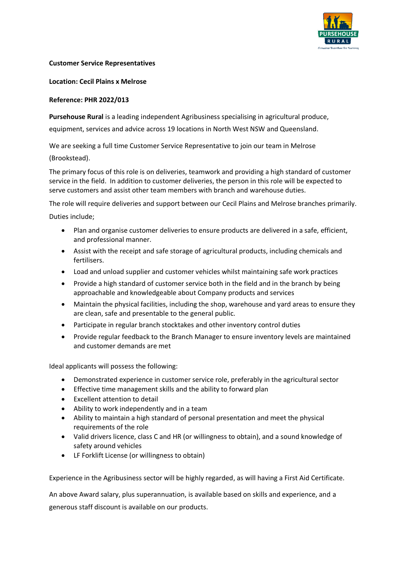

## **Customer Service Representatives**

## **Location: Cecil Plains x Melrose**

## **Reference: PHR 2022/013**

**Pursehouse Rural** is a leading independent Agribusiness specialising in agricultural produce,

equipment, services and advice across 19 locations in North West NSW and Queensland.

We are seeking a full time Customer Service Representative to join our team in Melrose (Brookstead).

The primary focus of this role is on deliveries, teamwork and providing a high standard of customer service in the field. In addition to customer deliveries, the person in this role will be expected to serve customers and assist other team members with branch and warehouse duties.

The role will require deliveries and support between our Cecil Plains and Melrose branches primarily.

Duties include;

- Plan and organise customer deliveries to ensure products are delivered in a safe, efficient, and professional manner.
- Assist with the receipt and safe storage of agricultural products, including chemicals and fertilisers.
- Load and unload supplier and customer vehicles whilst maintaining safe work practices
- Provide a high standard of customer service both in the field and in the branch by being approachable and knowledgeable about Company products and services
- Maintain the physical facilities, including the shop, warehouse and yard areas to ensure they are clean, safe and presentable to the general public.
- Participate in regular branch stocktakes and other inventory control duties
- Provide regular feedback to the Branch Manager to ensure inventory levels are maintained and customer demands are met

Ideal applicants will possess the following:

- Demonstrated experience in customer service role, preferably in the agricultural sector
- Effective time management skills and the ability to forward plan
- Excellent attention to detail
- Ability to work independently and in a team
- Ability to maintain a high standard of personal presentation and meet the physical requirements of the role
- Valid drivers licence, class C and HR (or willingness to obtain), and a sound knowledge of safety around vehicles
- LF Forklift License (or willingness to obtain)

Experience in the Agribusiness sector will be highly regarded, as will having a First Aid Certificate.

An above Award salary, plus superannuation, is available based on skills and experience, and a generous staff discount is available on our products.